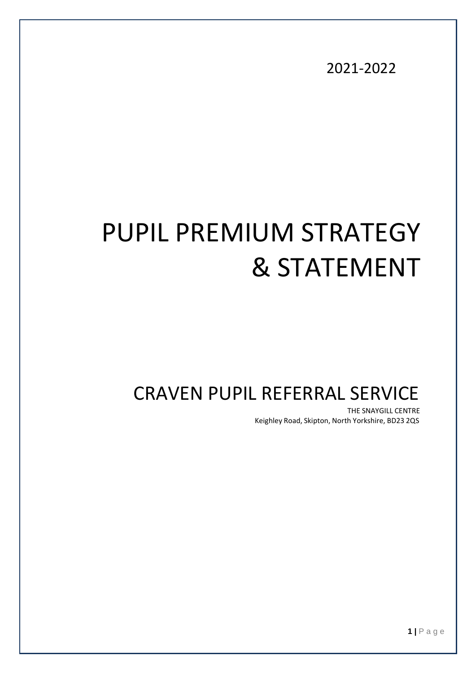2021-2022

# PUPIL PREMIUM STRATEGY & STATEMENT

## CRAVEN PUPIL REFERRAL SERVICE

THE SNAYGILL CENTRE Keighley Road, Skipton, North Yorkshire, BD23 2QS

**1 |** P a g e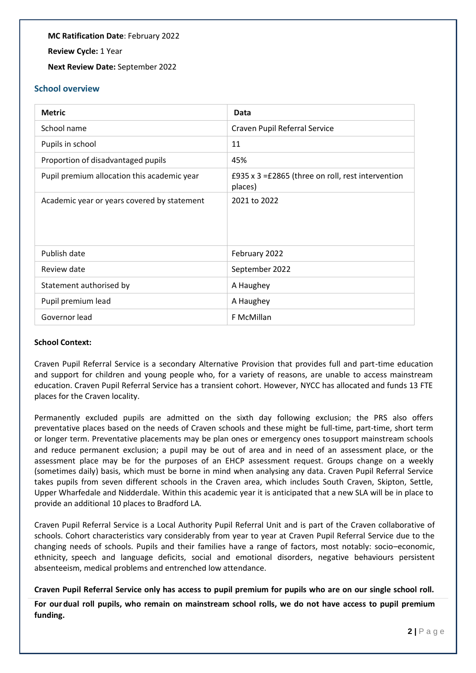**MC Ratification Date**: February 2022

**Review Cycle:** 1 Year

**Next Review Date:** September 2022

#### **School overview**

| <b>Metric</b>                               | Data                                                         |
|---------------------------------------------|--------------------------------------------------------------|
| School name                                 | Craven Pupil Referral Service                                |
| Pupils in school                            | 11                                                           |
| Proportion of disadvantaged pupils          | 45%                                                          |
| Pupil premium allocation this academic year | £935 x 3 =£2865 (three on roll, rest intervention<br>places) |
| Academic year or years covered by statement | 2021 to 2022                                                 |
| Publish date                                | February 2022                                                |
| Review date                                 | September 2022                                               |
| Statement authorised by                     | A Haughey                                                    |
| Pupil premium lead                          | A Haughey                                                    |
| Governor lead                               | F McMillan                                                   |

#### **School Context:**

Craven Pupil Referral Service is a secondary Alternative Provision that provides full and part-time education and support for children and young people who, for a variety of reasons, are unable to access mainstream education. Craven Pupil Referral Service has a transient cohort. However, NYCC has allocated and funds 13 FTE places for the Craven locality.

Permanently excluded pupils are admitted on the sixth day following exclusion; the PRS also offers preventative places based on the needs of Craven schools and these might be full-time, part-time, short term or longer term. Preventative placements may be plan ones or emergency ones tosupport mainstream schools and reduce permanent exclusion; a pupil may be out of area and in need of an assessment place, or the assessment place may be for the purposes of an EHCP assessment request. Groups change on a weekly (sometimes daily) basis, which must be borne in mind when analysing any data. Craven Pupil Referral Service takes pupils from seven different schools in the Craven area, which includes South Craven, Skipton, Settle, Upper Wharfedale and Nidderdale. Within this academic year it is anticipated that a new SLA will be in place to provide an additional 10 places to Bradford LA.

Craven Pupil Referral Service is a Local Authority Pupil Referral Unit and is part of the Craven collaborative of schools. Cohort characteristics vary considerably from year to year at Craven Pupil Referral Service due to the changing needs of schools. Pupils and their families have a range of factors, most notably: socio–economic, ethnicity, speech and language deficits, social and emotional disorders, negative behaviours persistent absenteeism, medical problems and entrenched low attendance.

**Craven Pupil Referral Service only has access to pupil premium for pupils who are on our single school roll.** 

**For our dual roll pupils, who remain on mainstream school rolls, we do not have access to pupil premium funding.**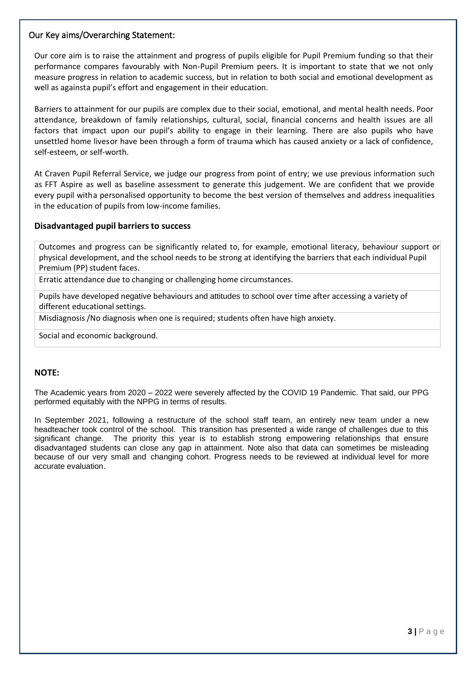#### Our Key aims/Overarching Statement:

Our core aim is to raise the attainment and progress of pupils eligible for Pupil Premium funding so that their performance compares favourably with Non-Pupil Premium peers. It is important to state that we not only measure progress in relation to academic success, but in relation to both social and emotional development as well as againsta pupil's effort and engagement in their education.

Barriers to attainment for our pupils are complex due to their social, emotional, and mental health needs. Poor attendance, breakdown of family relationships, cultural, social, financial concerns and health issues are all factors that impact upon our pupil's ability to engage in their learning. There are also pupils who have unsettled home livesor have been through a form of trauma which has caused anxiety or a lack of confidence, self-esteem, or self-worth.

At Craven Pupil Referral Service, we judge our progress from point of entry; we use previous information such as FFT Aspire as well as baseline assessment to generate this judgement. We are confident that we provide every pupil witha personalised opportunity to become the best version of themselves and address inequalities in the education of pupils from low-income families.

#### **Disadvantaged pupil barriersto success**

Outcomes and progress can be significantly related to, for example, emotional literacy, behaviour support or physical development, and the school needs to be strong at identifying the barriers that each individual Pupil Premium (PP) student faces.

Erratic attendance due to changing or challenging home circumstances.

Pupils have developed negative behaviours and attitudes to school over time after accessing a variety of different educational settings.

Misdiagnosis /No diagnosis when one is required; students often have high anxiety.

Social and economic background.

#### **NOTE:**

The Academic years from 2020 – 2022 were severely affected by the COVID 19 Pandemic. That said, our PPG performed equitably with the NPPG in terms of results.

In September 2021, following a restructure of the school staff team, an entirely new team under a new headteacher took control of the school. This transition has presented a wide range of challenges due to this significant change. The priority this year is to establish strong empowering relationships that ensure disadvantaged students can close any gap in attainment. Note also that data can sometimes be misleading because of our very small and changing cohort. Progress needs to be reviewed at individual level for more accurate evaluation.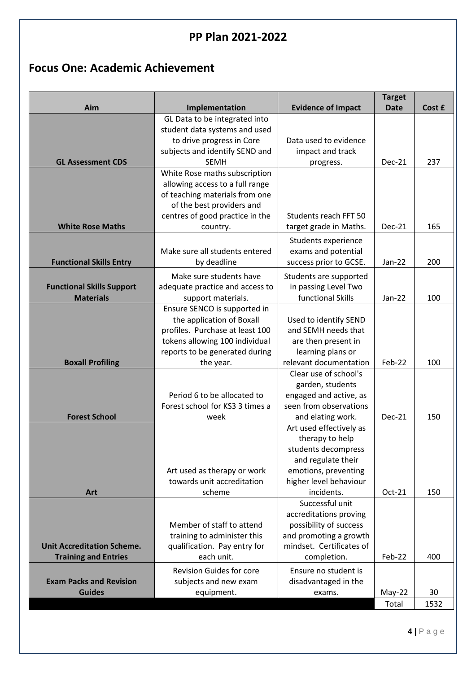## **PP Plan 2021-2022**

## **Focus One: Academic Achievement**

| Aim                               | Implementation                                             | <b>Evidence of Impact</b>                        | <b>Target</b><br><b>Date</b> | Cost £ |
|-----------------------------------|------------------------------------------------------------|--------------------------------------------------|------------------------------|--------|
|                                   | GL Data to be integrated into                              |                                                  |                              |        |
|                                   | student data systems and used                              |                                                  |                              |        |
|                                   | to drive progress in Core                                  | Data used to evidence                            |                              |        |
| <b>GL Assessment CDS</b>          | subjects and identify SEND and<br><b>SEMH</b>              | impact and track<br>progress.                    | Dec-21                       | 237    |
|                                   | White Rose maths subscription                              |                                                  |                              |        |
|                                   | allowing access to a full range                            |                                                  |                              |        |
|                                   | of teaching materials from one                             |                                                  |                              |        |
|                                   | of the best providers and                                  |                                                  |                              |        |
|                                   | centres of good practice in the                            | Students reach FFT 50                            |                              |        |
| <b>White Rose Maths</b>           | country.                                                   | target grade in Maths.                           | Dec-21                       | 165    |
|                                   |                                                            | Students experience                              |                              |        |
| <b>Functional Skills Entry</b>    | Make sure all students entered<br>by deadline              | exams and potential<br>success prior to GCSE.    | Jan-22                       | 200    |
|                                   |                                                            |                                                  |                              |        |
| <b>Functional Skills Support</b>  | Make sure students have<br>adequate practice and access to | Students are supported<br>in passing Level Two   |                              |        |
| <b>Materials</b>                  | support materials.                                         | functional Skills                                | Jan-22                       | 100    |
|                                   | Ensure SENCO is supported in                               |                                                  |                              |        |
|                                   | the application of Boxall                                  | Used to identify SEND                            |                              |        |
|                                   | profiles. Purchase at least 100                            | and SEMH needs that                              |                              |        |
|                                   | tokens allowing 100 individual                             | are then present in                              |                              |        |
| <b>Boxall Profiling</b>           | reports to be generated during<br>the year.                | learning plans or<br>relevant documentation      | Feb-22                       | 100    |
|                                   |                                                            | Clear use of school's                            |                              |        |
|                                   |                                                            | garden, students                                 |                              |        |
|                                   | Period 6 to be allocated to                                | engaged and active, as                           |                              |        |
|                                   | Forest school for KS3 3 times a                            | seen from observations                           |                              |        |
| <b>Forest School</b>              | week                                                       | and elating work.                                | <b>Dec-21</b>                | 150    |
|                                   |                                                            | Art used effectively as<br>therapy to help       |                              |        |
|                                   |                                                            | students decompress                              |                              |        |
|                                   |                                                            | and regulate their                               |                              |        |
|                                   | Art used as therapy or work                                | emotions, preventing                             |                              |        |
|                                   | towards unit accreditation                                 | higher level behaviour                           |                              |        |
| Art                               | scheme                                                     | incidents.                                       | $Oct-21$                     | 150    |
|                                   |                                                            | Successful unit                                  |                              |        |
|                                   | Member of staff to attend                                  | accreditations proving<br>possibility of success |                              |        |
|                                   | training to administer this                                | and promoting a growth                           |                              |        |
| <b>Unit Accreditation Scheme.</b> | qualification. Pay entry for                               | mindset. Certificates of                         |                              |        |
| <b>Training and Entries</b>       | each unit.                                                 | completion.                                      | Feb-22                       | 400    |
|                                   | <b>Revision Guides for core</b>                            | Ensure no student is                             |                              |        |
| <b>Exam Packs and Revision</b>    | subjects and new exam                                      | disadvantaged in the                             |                              |        |
| <b>Guides</b>                     | equipment.                                                 | exams.                                           | $May-22$                     | 30     |
|                                   |                                                            |                                                  | Total                        | 1532   |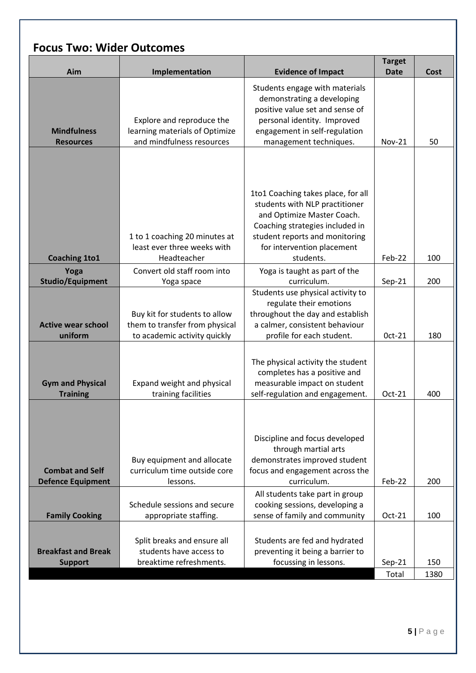|  |  |  | <b>Focus Two: Wider Outcomes</b> |
|--|--|--|----------------------------------|
|--|--|--|----------------------------------|

|                            |                                                              |                                                              | <b>Target</b> |      |
|----------------------------|--------------------------------------------------------------|--------------------------------------------------------------|---------------|------|
| Aim                        | Implementation                                               | <b>Evidence of Impact</b>                                    | <b>Date</b>   | Cost |
|                            |                                                              | Students engage with materials                               |               |      |
|                            |                                                              | demonstrating a developing                                   |               |      |
|                            |                                                              | positive value set and sense of                              |               |      |
|                            | Explore and reproduce the                                    | personal identity. Improved                                  |               |      |
| <b>Mindfulness</b>         | learning materials of Optimize<br>and mindfulness resources  | engagement in self-regulation                                |               |      |
| <b>Resources</b>           |                                                              | management techniques.                                       | <b>Nov-21</b> | 50   |
|                            |                                                              |                                                              |               |      |
|                            |                                                              |                                                              |               |      |
|                            |                                                              |                                                              |               |      |
|                            |                                                              | 1to1 Coaching takes place, for all                           |               |      |
|                            |                                                              | students with NLP practitioner                               |               |      |
|                            |                                                              | and Optimize Master Coach.                                   |               |      |
|                            |                                                              | Coaching strategies included in                              |               |      |
|                            | 1 to 1 coaching 20 minutes at<br>least ever three weeks with | student reports and monitoring<br>for intervention placement |               |      |
| <b>Coaching 1to1</b>       | Headteacher                                                  | students.                                                    | Feb-22        | 100  |
| Yoga                       | Convert old staff room into                                  | Yoga is taught as part of the                                |               |      |
| <b>Studio/Equipment</b>    | Yoga space                                                   | curriculum.                                                  | $Sep-21$      | 200  |
|                            |                                                              | Students use physical activity to                            |               |      |
|                            |                                                              | regulate their emotions                                      |               |      |
|                            | Buy kit for students to allow                                | throughout the day and establish                             |               |      |
| <b>Active wear school</b>  | them to transfer from physical                               | a calmer, consistent behaviour                               |               |      |
| uniform                    | to academic activity quickly                                 | profile for each student.                                    | Oct-21        | 180  |
|                            |                                                              |                                                              |               |      |
|                            |                                                              | The physical activity the student                            |               |      |
|                            |                                                              | completes has a positive and                                 |               |      |
| <b>Gym and Physical</b>    | Expand weight and physical                                   | measurable impact on student                                 |               |      |
| <b>Training</b>            | training facilities                                          | self-regulation and engagement.                              | Oct-21        | 400  |
|                            |                                                              |                                                              |               |      |
|                            |                                                              |                                                              |               |      |
|                            |                                                              | Discipline and focus developed                               |               |      |
|                            |                                                              | through martial arts                                         |               |      |
|                            | Buy equipment and allocate                                   | demonstrates improved student                                |               |      |
| <b>Combat and Self</b>     | curriculum time outside core                                 | focus and engagement across the                              |               |      |
| <b>Defence Equipment</b>   | lessons.                                                     | curriculum.                                                  | Feb-22        | 200  |
|                            |                                                              | All students take part in group                              |               |      |
|                            | Schedule sessions and secure                                 | cooking sessions, developing a                               |               |      |
| <b>Family Cooking</b>      | appropriate staffing.                                        | sense of family and community                                | Oct-21        | 100  |
|                            |                                                              |                                                              |               |      |
|                            | Split breaks and ensure all                                  | Students are fed and hydrated                                |               |      |
| <b>Breakfast and Break</b> | students have access to                                      | preventing it being a barrier to                             |               |      |
| <b>Support</b>             | breaktime refreshments.                                      | focussing in lessons.                                        | $Sep-21$      | 150  |
|                            |                                                              |                                                              | Total         | 1380 |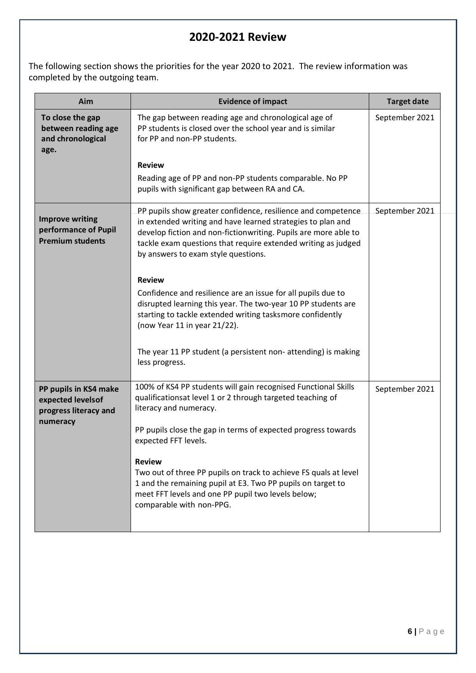## **2020-2021 Review**

The following section shows the priorities for the year 2020 to 2021. The review information was completed by the outgoing team.

| Aim                                                                       | <b>Evidence of impact</b>                                                                                                                                                                                                                                                                              | <b>Target date</b> |
|---------------------------------------------------------------------------|--------------------------------------------------------------------------------------------------------------------------------------------------------------------------------------------------------------------------------------------------------------------------------------------------------|--------------------|
| To close the gap<br>between reading age<br>and chronological<br>age.      | The gap between reading age and chronological age of<br>PP students is closed over the school year and is similar<br>for PP and non-PP students.                                                                                                                                                       | September 2021     |
|                                                                           | <b>Review</b>                                                                                                                                                                                                                                                                                          |                    |
|                                                                           | Reading age of PP and non-PP students comparable. No PP<br>pupils with significant gap between RA and CA.                                                                                                                                                                                              |                    |
| <b>Improve writing</b><br>performance of Pupil<br><b>Premium students</b> | PP pupils show greater confidence, resilience and competence<br>in extended writing and have learned strategies to plan and<br>develop fiction and non-fictionwriting. Pupils are more able to<br>tackle exam questions that require extended writing as judged<br>by answers to exam style questions. | September 2021     |
|                                                                           | <b>Review</b>                                                                                                                                                                                                                                                                                          |                    |
|                                                                           | Confidence and resilience are an issue for all pupils due to<br>disrupted learning this year. The two-year 10 PP students are<br>starting to tackle extended writing tasksmore confidently<br>(now Year 11 in year 21/22).                                                                             |                    |
|                                                                           | The year 11 PP student (a persistent non- attending) is making<br>less progress.                                                                                                                                                                                                                       |                    |
| PP pupils in KS4 make<br>expected levels of<br>progress literacy and      | 100% of KS4 PP students will gain recognised Functional Skills<br>qualificationsat level 1 or 2 through targeted teaching of<br>literacy and numeracy.                                                                                                                                                 | September 2021     |
| numeracy                                                                  | PP pupils close the gap in terms of expected progress towards<br>expected FFT levels.                                                                                                                                                                                                                  |                    |
|                                                                           | <b>Review</b><br>Two out of three PP pupils on track to achieve FS quals at level<br>1 and the remaining pupil at E3. Two PP pupils on target to<br>meet FFT levels and one PP pupil two levels below;<br>comparable with non-PPG.                                                                     |                    |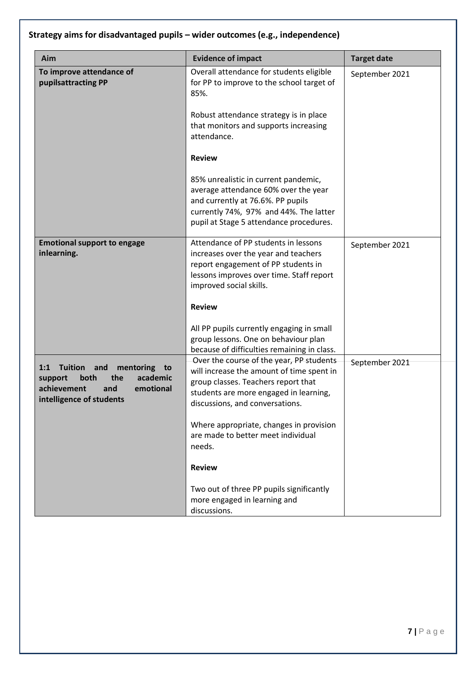## **Strategy aims for disadvantaged pupils – wider outcomes (e.g., independence)**

| Aim                                                                                                                                                  | <b>Evidence of impact</b>                                                                                                                                                                                                                                                                                                                                                                                         | <b>Target date</b> |
|------------------------------------------------------------------------------------------------------------------------------------------------------|-------------------------------------------------------------------------------------------------------------------------------------------------------------------------------------------------------------------------------------------------------------------------------------------------------------------------------------------------------------------------------------------------------------------|--------------------|
| To improve attendance of<br>pupilsattracting PP                                                                                                      | Overall attendance for students eligible<br>for PP to improve to the school target of<br>85%.<br>Robust attendance strategy is in place<br>that monitors and supports increasing<br>attendance.<br><b>Review</b><br>85% unrealistic in current pandemic,<br>average attendance 60% over the year                                                                                                                  | September 2021     |
|                                                                                                                                                      | and currently at 76.6%. PP pupils<br>currently 74%, 97% and 44%. The latter<br>pupil at Stage 5 attendance procedures.                                                                                                                                                                                                                                                                                            |                    |
| <b>Emotional support to engage</b><br>inlearning.                                                                                                    | Attendance of PP students in lessons<br>increases over the year and teachers<br>report engagement of PP students in<br>lessons improves over time. Staff report<br>improved social skills.<br><b>Review</b><br>All PP pupils currently engaging in small<br>group lessons. One on behaviour plan<br>because of difficulties remaining in class.                                                                   | September 2021     |
| 1:1<br><b>Tuition</b><br>and<br>mentoring<br>to<br>both<br>the<br>academic<br>support<br>achievement<br>emotional<br>and<br>intelligence of students | Over the course of the year, PP students<br>will increase the amount of time spent in<br>group classes. Teachers report that<br>students are more engaged in learning,<br>discussions, and conversations.<br>Where appropriate, changes in provision<br>are made to better meet individual<br>needs.<br><b>Review</b><br>Two out of three PP pupils significantly<br>more engaged in learning and<br>discussions. | September 2021     |